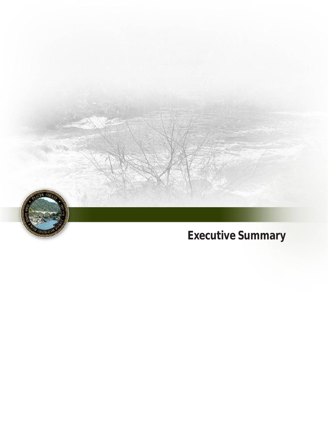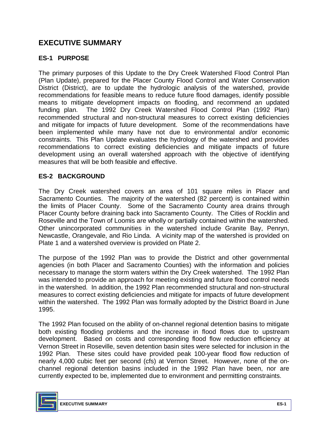# **EXECUTIVE SUMMARY**

### **ES-1 PURPOSE**

 The primary purposes of this Update to the Dry Creek Watershed Flood Control Plan (Plan Update), prepared for the Placer County Flood Control and Water Conservation District (District), are to update the hydrologic analysis of the watershed, provide recommendations for feasible means to reduce future flood damages, identify possible means to mitigate development impacts on flooding, and recommend an updated funding plan. The 1992 Dry Creek Watershed Flood Control Plan (1992 Plan) recommended structural and non-structural measures to correct existing deficiencies and mitigate for impacts of future development. Some of the recommendations have been implemented while many have not due to environmental and/or economic constraints. This Plan Update evaluates the hydrology of the watershed and provides recommendations to correct existing deficiencies and mitigate impacts of future measures that will be both feasible and effective. development using an overall watershed approach with the objective of identifying

### **ES-2 BACKGROUND**

 The Dry Creek watershed covers an area of 101 square miles in Placer and Sacramento Counties. The majority of the watershed (82 percent) is contained within the limits of Placer County. Some of the Sacramento County area drains through Placer County before draining back into Sacramento County. The Cities of Rocklin and Roseville and the Town of Loomis are wholly or partially contained within the watershed. Other unincorporated communities in the watershed include Granite Bay, Penryn, Newcastle, Orangevale, and Rio Linda. A vicinity map of the watershed is provided on Plate 1 and a watershed overview is provided on Plate 2.

 The purpose of the 1992 Plan was to provide the District and other governmental necessary to manage the storm waters within the Dry Creek watershed. The 1992 Plan was intended to provide an approach for meeting existing and future flood control needs in the watershed. In addition, the 1992 Plan recommended structural and non-structural measures to correct existing deficiencies and mitigate for impacts of future development within the watershed. The 1992 Plan was formally adopted by the District Board in June agencies (in both Placer and Sacramento Counties) with the information and policies 1995.

 The 1992 Plan focused on the ability of on-channel regional detention basins to mitigate Vernon Street in Roseville, seven detention basin sites were selected for inclusion in the 1992 Plan. These sites could have provided peak 100-year flood flow reduction of nearly 4,000 cubic feet per second (cfs) at Vernon Street. However, none of the on- channel regional detention basins included in the 1992 Plan have been, nor are currently expected to be, implemented due to environment and permitting constraints. both existing flooding problems and the increase in flood flows due to upstream development. Based on costs and corresponding flood flow reduction efficiency at

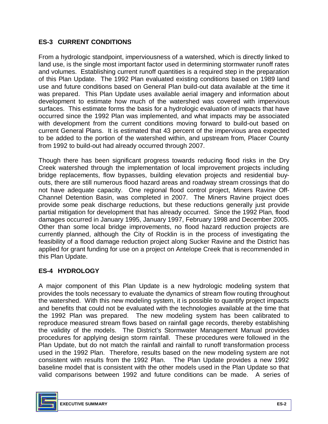## **ES-3 CURRENT CONDITIONS**

 From a hydrologic standpoint, imperviousness of a watershed, which is directly linked to land use, is the single most important factor used in determining stormwater runoff rates and volumes. Establishing current runoff quantities is a required step in the preparation of this Plan Update. The 1992 Plan evaluated existing conditions based on 1989 land use and future conditions based on General Plan build-out data available at the time it was prepared. This Plan Update uses available aerial imagery and information about surfaces. This estimate forms the basis for a hydrologic evaluation of impacts that have occurred since the 1992 Plan was implemented, and what impacts may be associated with development from the current conditions moving forward to build-out based on current General Plans. It is estimated that 43 percent of the impervious area expected to be added to the portion of the watershed within, and upstream from, Placer County development to estimate how much of the watershed was covered with impervious from 1992 to build-out had already occurred through 2007.

 Though there has been significant progress towards reducing flood risks in the Dry Creek watershed through the implementation of local improvement projects including outs, there are still numerous flood hazard areas and roadway stream crossings that do not have adequate capacity. One regional flood control project, Miners Ravine Off- Channel Detention Basin, was completed in 2007. The Miners Ravine project does provide some peak discharge reductions, but these reductions generally just provide partial mitigation for development that has already occurred. Since the 1992 Plan, flood damages occurred in January 1995, January 1997, February 1998 and December 2005. damages occurred in January 1995, January 1997, February 1998 and December 2005.<br>Other than some local bridge improvements, no flood hazard reduction projects are applied for grant funding for use on a project on Antelope Creek that is recommended in bridge replacements, flow bypasses, building elevation projects and residential buycurrently planned, although the City of Rocklin is in the process of investigating the feasibility of a flood damage reduction project along Sucker Ravine and the District has this Plan Update.

### **ES-4 HYDROLOGY**

 A major component of this Plan Update is a new hydrologic modeling system that the watershed. With this new modeling system, it is possible to quantify project impacts the 1992 Plan was prepared. The new modeling system has been calibrated to reproduce measured stream flows based on rainfall gage records, thereby establishing the validity of the models. The District's Stormwater Management Manual provides procedures for applying design storm rainfall. These procedures were followed in the Plan Update, but do not match the rainfall and rainfall to runoff transformation process consistent with results from the 1992 Plan. The Plan Update provides a new 1992 baseline model that is consistent with the other models used in the Plan Update so that valid comparisons between 1992 and future conditions can be made. A series of provides the tools necessary to evaluate the dynamics of stream flow routing throughout and benefits that could not be evaluated with the technologies available at the time that used in the 1992 Plan. Therefore, results based on the new modeling system are not

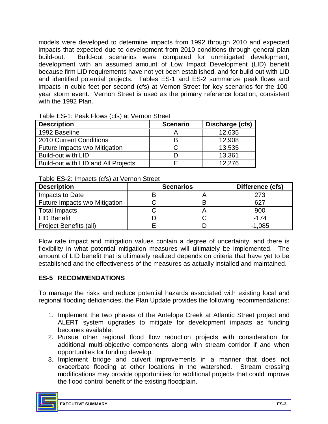models were developed to determine impacts from 1992 through 2010 and expected impacts that expected due to development from 2010 conditions through general plan development with an assumed amount of Low Impact Development (LID) benefit because firm LID requirements have not yet been established, and for build-out with LID and identified potential projects. Tables ES-1 and ES-2 summarize peak flows and impacts in cubic feet per second (cfs) at Vernon Street for key scenarios for the 100- year storm event. Vernon Street is used as the primary reference location, consistent with the 1992 Plan. build-out. Build-out scenarios were computed for unmitigated development,

| <b>Description</b>                  | <b>Scenario</b> | Discharge (cfs) |
|-------------------------------------|-----------------|-----------------|
| 1992 Baseline                       |                 | 12,635          |
| 2010 Current Conditions             |                 | 12,908          |
| Future Impacts w/o Mitigation       |                 | 13,535          |
| Build-out with LID                  |                 | 13,361          |
| Build-out with LID and All Projects |                 | 12.276          |

Table ES-1: Peak Flows (cfs) at Vernon Street

Table ES-2: Impacts (cfs) at Vernon Street

| <b>Description</b>            | <b>Scenarios</b> | Difference (cfs) |          |
|-------------------------------|------------------|------------------|----------|
| Impacts to Date               |                  |                  | 273      |
| Future Impacts w/o Mitigation |                  |                  | 62.      |
| <b>Total Impacts</b>          |                  |                  | 900      |
| <b>LID Benefit</b>            |                  |                  | -174     |
| Project Benefits (all)        |                  |                  | $-1,085$ |

 Flow rate impact and mitigation values contain a degree of uncertainty, and there is flexibility in what potential mitigation measures will ultimately be implemented. The amount of LID benefit that is ultimately realized depends on criteria that have yet to be established and the effectiveness of the measures as actually installed and maintained.

### **ES-5 RECOMMENDATIONS**

 To manage the risks and reduce potential hazards associated with existing local and regional flooding deficiencies, the Plan Update provides the following recommendations:

- 1. Implement the two phases of the Antelope Creek at Atlantic Street project and ALERT system upgrades to mitigate for development impacts as funding becomes available.
- 2. Pursue other regional flood flow reduction projects with consideration for additional multi-objective components along with stream corridor if and when opportunities for funding develop.
- 3. Implement bridge and culvert improvements in a manner that does not exacerbate flooding at other locations in the watershed. Stream crossing modifications may provide opportunities for additional projects that could improve the flood control benefit of the existing floodplain.

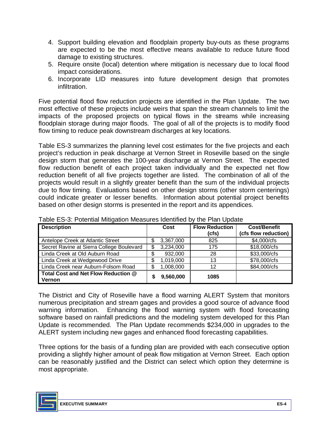- 4. Support building elevation and floodplain property buy-outs as these programs are expected to be the most effective means available to reduce future flood damage to existing structures.
- 5. Require onsite (local) detention where mitigation is necessary due to local flood impact considerations.
- 6. Incorporate LID measures into future development design that promotes infiltration.

 Five potential flood flow reduction projects are identified in the Plan Update. The two most effective of these projects include weirs that span the stream channels to limit the impacts of the proposed projects on typical flows in the streams while increasing floodplain storage during major floods. The goal of all of the projects is to modify flood flow timing to reduce peak downstream discharges at key locations.

 Table ES-3 summarizes the planning level cost estimates for the five projects and each design storm that generates the 100-year discharge at Vernon Street. The expected reduction benefit of all five projects together are listed. The combination of all of the projects would result in a slightly greater benefit than the sum of the individual projects due to flow timing. Evaluations based on other design storms (other storm centerings) could indicate greater or lesser benefits. Information about potential project benefits project's reduction in peak discharge at Vernon Street in Roseville based on the single flow reduction benefit of each project taken individually and the expected net flow based on other design storms is presented in the report and its appendices.

| <b>Description</b>                            |    | Cost      | <b>Flow Reduction</b><br>(cfs) | <b>Cost/Benefit</b><br>(cfs flow reduction) |
|-----------------------------------------------|----|-----------|--------------------------------|---------------------------------------------|
| Antelope Creek at Atlantic Street             |    | 3,367,000 | 825                            | \$4,000/cfs                                 |
| Secret Ravine at Sierra College Boulevard     |    | 3,234,000 | 175                            | \$18,000/cfs                                |
| Linda Creek at Old Auburn Road                | \$ | 932,000   | 28                             | \$33,000/cfs                                |
| Linda Creek at Wedgewood Drive                | S  | 1,019,000 | 13                             | \$78,000/cfs                                |
| Linda Creek near Auburn-Folsom Road           |    | 1,008,000 | 12                             | \$84,000/cfs                                |
| Total Cost and Net Flow Reduction @<br>Vernon |    | 9,560,000 | 1085                           |                                             |

Table ES-3: Potential Mitigation Measures Identified by the Plan Update

 The District and City of Roseville have a flood warning ALERT System that monitors numerous precipitation and stream gages and provides a good source of advance flood warning information. Enhancing the flood warning system with flood forecasting software based on rainfall predictions and the modeling system developed for this Plan Update is recommended. The Plan Update recommends \$234,000 in upgrades to the ALERT system including new gages and enhanced flood forecasting capabilities.

 Three options for the basis of a funding plan are provided with each consecutive option providing a slightly higher amount of peak flow mitigation at Vernon Street. Each option can be reasonably justified and the District can select which option they determine is most appropriate.